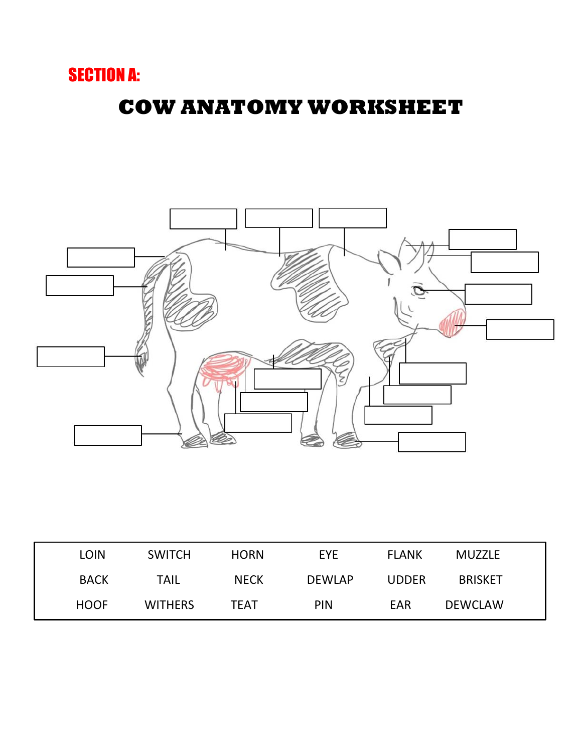## SECTION A:

# **COW ANATOMY WORKSHEET**



| LOIN        | <b>SWITCH</b>  | <b>HORN</b> | <b>EYE</b>    | <b>FLANK</b> | <b>MUZZLE</b>  |  |
|-------------|----------------|-------------|---------------|--------------|----------------|--|
| <b>BACK</b> | <b>TAIL</b>    | <b>NECK</b> | <b>DEWLAP</b> | <b>UDDER</b> | <b>BRISKET</b> |  |
| <b>HOOF</b> | <b>WITHERS</b> | TEAT        | <b>PIN</b>    | EAR          | <b>DEWCLAW</b> |  |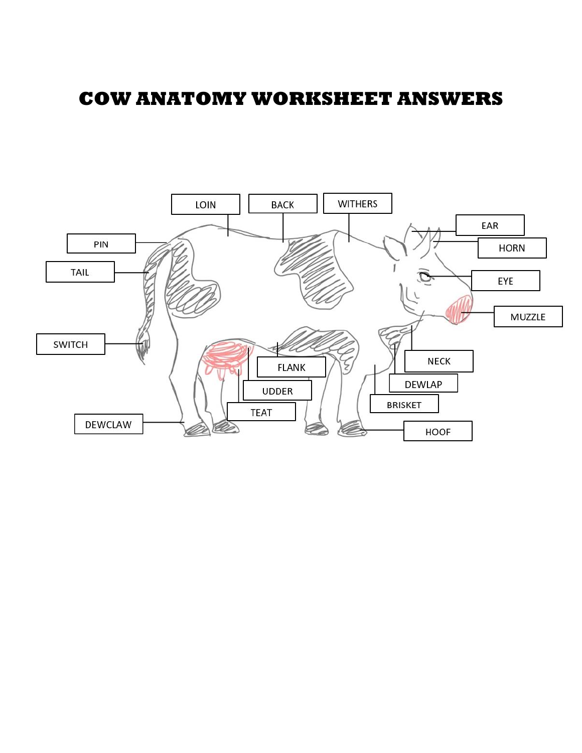#### **COW ANATOMY WORKSHEET ANSWERS**

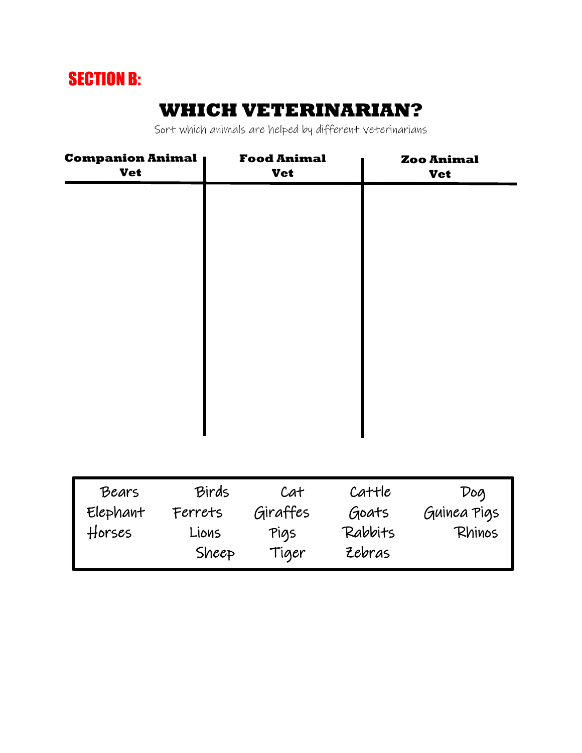# SECTION B:

### **WHICH VETERINARIAN?**

Sort which animals are helped by different veterinarians

| <b>Companion Animal</b><br><b>Vet</b> |       | <b>Food Animal</b><br><b>Vet</b> | <b>Zoo Animal</b><br><b>Vet</b> |     |
|---------------------------------------|-------|----------------------------------|---------------------------------|-----|
|                                       |       |                                  |                                 |     |
|                                       |       |                                  |                                 |     |
|                                       |       |                                  |                                 |     |
|                                       |       |                                  |                                 |     |
|                                       |       |                                  |                                 |     |
|                                       |       |                                  |                                 |     |
|                                       |       |                                  |                                 |     |
|                                       |       |                                  |                                 |     |
|                                       |       |                                  |                                 |     |
| Bears                                 | Birds | Cat                              | Cattle                          | Dog |

| Bears    | Birds   | Cat      | Cattle  | Doq         |
|----------|---------|----------|---------|-------------|
| Elephant | Ferrets | Giraffes | Goats   | Guinea Pigs |
| Horses   | Lions   | Pigs     | Rabbits | Rhinos      |
|          | Sheep   | Tiger    | Zebras  |             |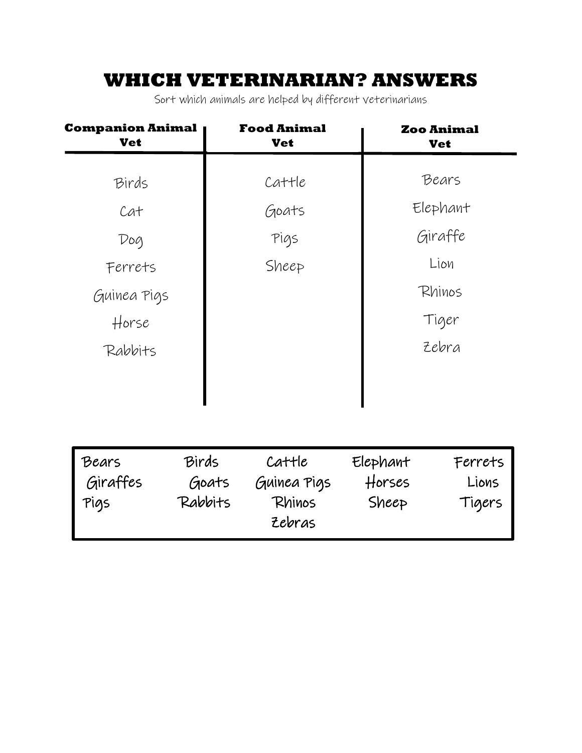### **WHICH VETERINARIAN? ANSWERS**

Sort which animals are helped by different veterinarians

| <b>Companion Animal</b>   | <b>Food Animal</b><br><b>Vet</b> |                             | <b>Zoo Animal</b><br><b>Vet</b> |  |
|---------------------------|----------------------------------|-----------------------------|---------------------------------|--|
|                           | Cattle                           |                             | Bears                           |  |
|                           | Goats                            |                             | Elephant                        |  |
|                           | Pigs                             |                             | Giraffe                         |  |
|                           | Sheep                            |                             | Lion                            |  |
|                           |                                  |                             | Rhinos                          |  |
|                           |                                  |                             | Tiger                           |  |
|                           |                                  |                             | Zebra                           |  |
|                           |                                  |                             |                                 |  |
|                           |                                  |                             |                                 |  |
| Birds<br>Goats<br>Rabbits | Cattle<br>Guinea Pigs<br>Rhinos  | Elephant<br>Horses<br>Sheep | Ferrets<br>Lions<br>Tigers      |  |
|                           |                                  | Zebras                      |                                 |  |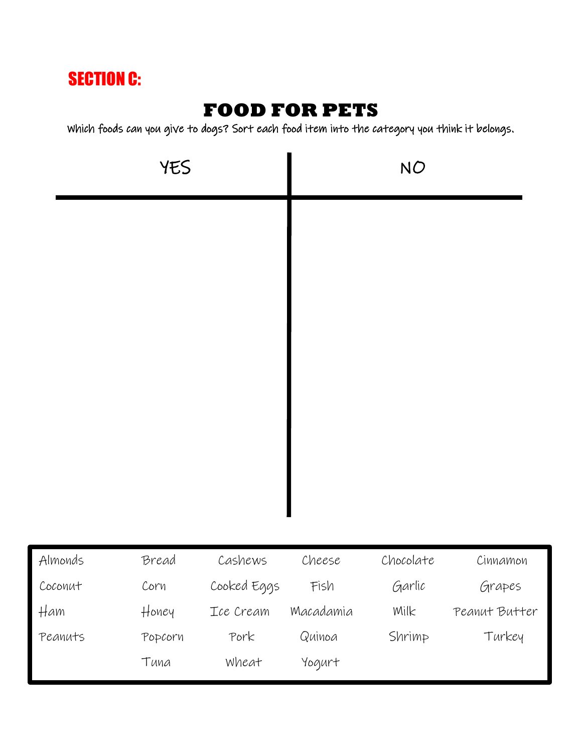## SECTION C:

### **FOOD FOR PETS**

Which foods can you give to dogs? Sort each food item into the category you think it belongs.

| YES     |         |             |           | <b>NO</b> |               |
|---------|---------|-------------|-----------|-----------|---------------|
|         |         |             |           |           |               |
| Almonds | Bread   | Cashews     | Cheese    | Chocolate | Cinnamon      |
| Coconut | Corn    | Cooked Eggs | Fish      | Garlic    | Grapes        |
| Ham     | Honey   | Ice Cream   | Macadamia | Milk      | Peanut Butter |
| Peanuts | Popcorn | Pork        | Quinoa    | Shrimp    | Turkey        |
|         | Tuna    | Wheat       | Yogurt    |           |               |